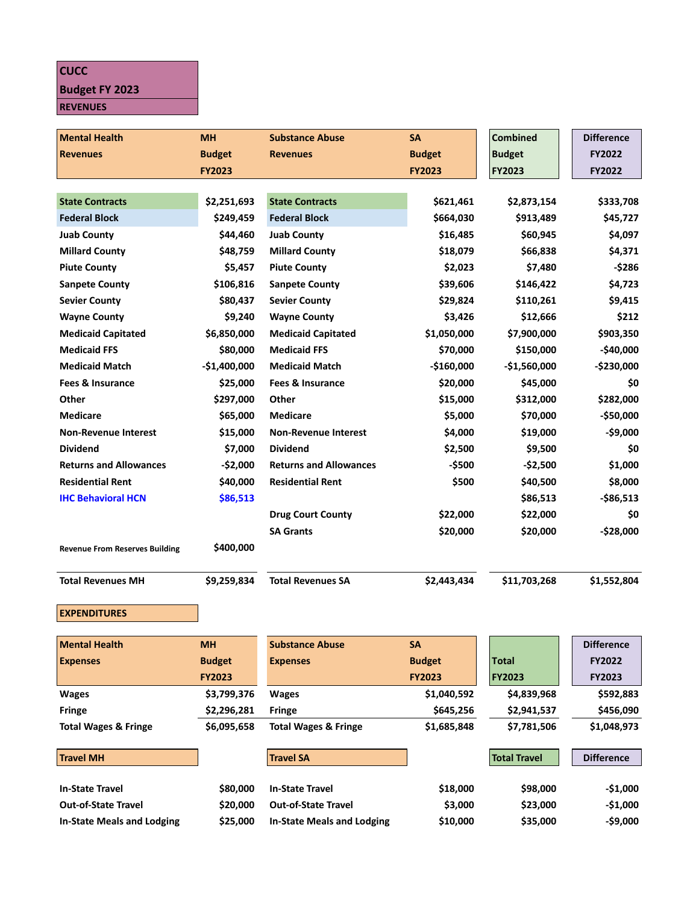## **CUCC**

## **Budget FY 2023**

**REVENUES**

| <b>Mental Health</b>                  | <b>MH</b>     | <b>Substance Abuse</b>            | <b>SA</b>     | <b>Combined</b>     | <b>Difference</b> |
|---------------------------------------|---------------|-----------------------------------|---------------|---------------------|-------------------|
| <b>Revenues</b>                       | <b>Budget</b> | <b>Revenues</b>                   | <b>Budget</b> | <b>Budget</b>       | FY2022            |
|                                       | <b>FY2023</b> |                                   | <b>FY2023</b> | <b>FY2023</b>       | FY2022            |
|                                       |               |                                   |               |                     |                   |
| <b>State Contracts</b>                | \$2,251,693   | <b>State Contracts</b>            | \$621,461     | \$2,873,154         | \$333,708         |
| <b>Federal Block</b>                  | \$249,459     | <b>Federal Block</b>              | \$664,030     | \$913,489           | \$45,727          |
| <b>Juab County</b>                    | \$44,460      | <b>Juab County</b>                | \$16,485      | \$60,945            | \$4,097           |
| <b>Millard County</b>                 | \$48,759      | <b>Millard County</b>             | \$18,079      | \$66,838            | \$4,371           |
| <b>Piute County</b>                   | \$5,457       | <b>Piute County</b>               | \$2,023       | \$7,480             | -\$286            |
| <b>Sanpete County</b>                 | \$106,816     | <b>Sanpete County</b>             | \$39,606      | \$146,422           | \$4,723           |
| <b>Sevier County</b>                  | \$80,437      | <b>Sevier County</b>              | \$29,824      | \$110,261           | \$9,415           |
| <b>Wayne County</b>                   | \$9,240       | <b>Wayne County</b>               | \$3,426       | \$12,666            | \$212             |
| <b>Medicaid Capitated</b>             | \$6,850,000   | <b>Medicaid Capitated</b>         | \$1,050,000   | \$7,900,000         | \$903,350         |
| <b>Medicaid FFS</b>                   | \$80,000      | <b>Medicaid FFS</b>               | \$70,000      | \$150,000           | $-$40,000$        |
| <b>Medicaid Match</b>                 | $-$1,400,000$ | <b>Medicaid Match</b>             | $-$160,000$   | $-$1,560,000$       | $-$230,000$       |
| <b>Fees &amp; Insurance</b>           | \$25,000      | <b>Fees &amp; Insurance</b>       | \$20,000      | \$45,000            | \$0               |
| Other                                 | \$297,000     | Other                             | \$15,000      | \$312,000           | \$282,000         |
| <b>Medicare</b>                       | \$65,000      | <b>Medicare</b>                   | \$5,000       | \$70,000            | -\$50,000         |
| <b>Non-Revenue Interest</b>           | \$15,000      | <b>Non-Revenue Interest</b>       | \$4,000       | \$19,000            | -\$9,000          |
| <b>Dividend</b>                       | \$7,000       | <b>Dividend</b>                   | \$2,500       | \$9,500             | \$0               |
| <b>Returns and Allowances</b>         | $-$2,000$     | <b>Returns and Allowances</b>     | -\$500        | $-$2,500$           | \$1,000           |
| <b>Residential Rent</b>               | \$40,000      | <b>Residential Rent</b>           | \$500         | \$40,500            | \$8,000           |
| <b>IHC Behavioral HCN</b>             | \$86,513      |                                   |               | \$86,513            | $-$86,513$        |
|                                       |               | <b>Drug Court County</b>          | \$22,000      | \$22,000            | \$0               |
|                                       |               | <b>SA Grants</b>                  | \$20,000      | \$20,000            | $-$28,000$        |
| <b>Revenue From Reserves Building</b> | \$400,000     |                                   |               |                     |                   |
|                                       |               |                                   |               |                     |                   |
| <b>Total Revenues MH</b>              | \$9,259,834   | <b>Total Revenues SA</b>          | \$2,443,434   | \$11,703,268        | \$1,552,804       |
|                                       |               |                                   |               |                     |                   |
| <b>EXPENDITURES</b>                   |               |                                   |               |                     |                   |
| <b>Mental Health</b>                  | <b>MH</b>     | <b>Substance Abuse</b>            | SA            |                     | <b>Difference</b> |
| <b>Expenses</b>                       | <b>Budget</b> | <b>Expenses</b>                   | <b>Budget</b> | <b>Total</b>        | FY2022            |
|                                       | <b>FY2023</b> |                                   | <b>FY2023</b> | <b>FY2023</b>       | FY2023            |
| <b>Wages</b>                          | \$3,799,376   | <b>Wages</b>                      | \$1,040,592   | \$4,839,968         | \$592,883         |
| <b>Fringe</b>                         | \$2,296,281   | <b>Fringe</b>                     | \$645,256     | \$2,941,537         | \$456,090         |
| <b>Total Wages &amp; Fringe</b>       | \$6,095,658   | <b>Total Wages &amp; Fringe</b>   | \$1,685,848   | \$7,781,506         | \$1,048,973       |
|                                       |               |                                   |               |                     |                   |
| <b>Travel MH</b>                      |               | <b>Travel SA</b>                  |               | <b>Total Travel</b> | <b>Difference</b> |
| <b>In-State Travel</b>                | \$80,000      | <b>In-State Travel</b>            | \$18,000      | \$98,000            | $-$1,000$         |
| <b>Out-of-State Travel</b>            | \$20,000      | <b>Out-of-State Travel</b>        | \$3,000       | \$23,000            | $-$1,000$         |
| <b>In-State Meals and Lodging</b>     | \$25,000      | <b>In-State Meals and Lodging</b> | \$10,000      | \$35,000            | -\$9,000          |
|                                       |               |                                   |               |                     |                   |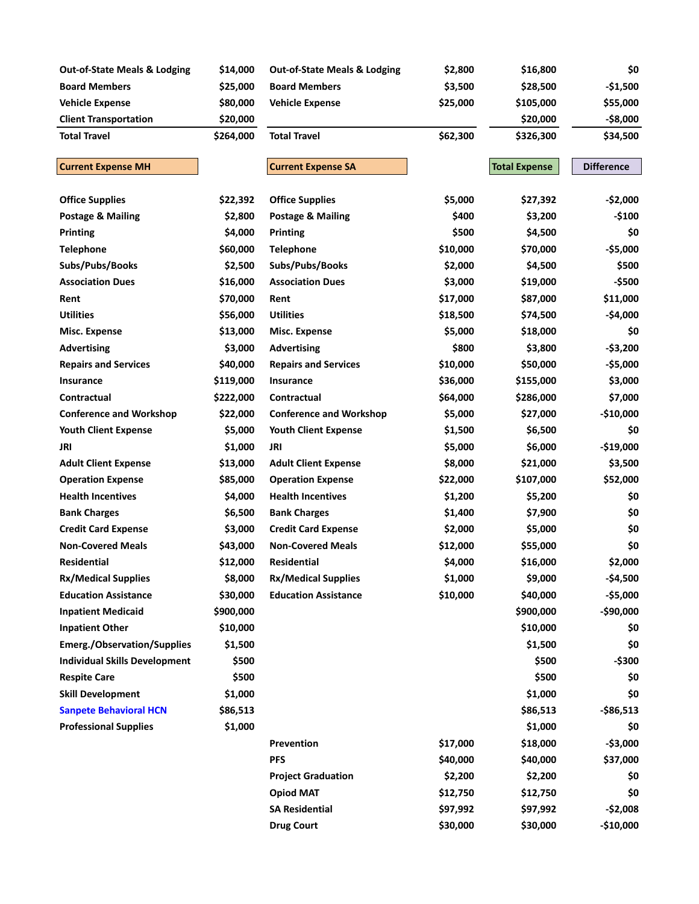| <b>Out-of-State Meals &amp; Lodging</b> | \$14,000  | <b>Out-of-State Meals &amp; Lodging</b> | \$2,800  | \$16,800             | \$0               |
|-----------------------------------------|-----------|-----------------------------------------|----------|----------------------|-------------------|
| <b>Board Members</b>                    | \$25,000  | <b>Board Members</b>                    | \$3,500  | \$28,500             | $-$1,500$         |
| <b>Vehicle Expense</b>                  | \$80,000  | <b>Vehicle Expense</b>                  | \$25,000 | \$105,000            | \$55,000          |
| <b>Client Transportation</b>            | \$20,000  |                                         |          | \$20,000             | $-$ \$8,000       |
| <b>Total Travel</b>                     | \$264,000 | <b>Total Travel</b>                     | \$62,300 | \$326,300            | \$34,500          |
| <b>Current Expense MH</b>               |           | <b>Current Expense SA</b>               |          | <b>Total Expense</b> | <b>Difference</b> |
|                                         |           |                                         |          |                      |                   |
| <b>Office Supplies</b>                  | \$22,392  | <b>Office Supplies</b>                  | \$5,000  | \$27,392             | $-$2,000$         |
| <b>Postage &amp; Mailing</b>            | \$2,800   | <b>Postage &amp; Mailing</b>            | \$400    | \$3,200              | $-$100$           |
| Printing                                | \$4,000   | Printing                                | \$500    | \$4,500              | \$0               |
| <b>Telephone</b>                        | \$60,000  | <b>Telephone</b>                        | \$10,000 | \$70,000             | $-$5,000$         |
| Subs/Pubs/Books                         | \$2,500   | Subs/Pubs/Books                         | \$2,000  | \$4,500              | \$500             |
| <b>Association Dues</b>                 | \$16,000  | <b>Association Dues</b>                 | \$3,000  | \$19,000             | -\$500            |
| Rent                                    | \$70,000  | Rent                                    | \$17,000 | \$87,000             | \$11,000          |
| <b>Utilities</b>                        | \$56,000  | <b>Utilities</b>                        | \$18,500 | \$74,500             | -\$4,000          |
| Misc. Expense                           | \$13,000  | Misc. Expense                           | \$5,000  | \$18,000             | \$0               |
| <b>Advertising</b>                      | \$3,000   | <b>Advertising</b>                      | \$800    | \$3,800              | $-53,200$         |
| <b>Repairs and Services</b>             | \$40,000  | <b>Repairs and Services</b>             | \$10,000 | \$50,000             | $-$5,000$         |
| Insurance                               | \$119,000 | Insurance                               | \$36,000 | \$155,000            | \$3,000           |
| Contractual                             | \$222,000 | Contractual                             | \$64,000 | \$286,000            | \$7,000           |
| <b>Conference and Workshop</b>          | \$22,000  | <b>Conference and Workshop</b>          | \$5,000  | \$27,000             | $-$10,000$        |
| <b>Youth Client Expense</b>             | \$5,000   | <b>Youth Client Expense</b>             | \$1,500  | \$6,500              | \$0               |
| JRI                                     | \$1,000   | <b>JRI</b>                              | \$5,000  | \$6,000              | $-$19,000$        |
| <b>Adult Client Expense</b>             | \$13,000  | <b>Adult Client Expense</b>             | \$8,000  | \$21,000             | \$3,500           |
| <b>Operation Expense</b>                | \$85,000  | <b>Operation Expense</b>                | \$22,000 | \$107,000            | \$52,000          |
| <b>Health Incentives</b>                | \$4,000   | <b>Health Incentives</b>                | \$1,200  | \$5,200              | \$0               |
| <b>Bank Charges</b>                     | \$6,500   | <b>Bank Charges</b>                     | \$1,400  | \$7,900              | \$0               |
| <b>Credit Card Expense</b>              | \$3,000   | <b>Credit Card Expense</b>              | \$2,000  | \$5,000              | \$0               |
| <b>Non-Covered Meals</b>                | \$43,000  | <b>Non-Covered Meals</b>                | \$12,000 | \$55,000             | \$0               |
| Residential                             | \$12,000  | Residential                             | \$4,000  | \$16,000             | \$2,000           |
| <b>Rx/Medical Supplies</b>              | \$8,000   | <b>Rx/Medical Supplies</b>              | \$1,000  | \$9,000              | -\$4,500          |
| <b>Education Assistance</b>             | \$30,000  | <b>Education Assistance</b>             | \$10,000 | \$40,000             | $-$5,000$         |
| <b>Inpatient Medicaid</b>               | \$900,000 |                                         |          | \$900,000            | -\$90,000         |
| <b>Inpatient Other</b>                  | \$10,000  |                                         |          | \$10,000             | \$0               |
| <b>Emerg./Observation/Supplies</b>      | \$1,500   |                                         |          | \$1,500              | \$0               |
| <b>Individual Skills Development</b>    | \$500     |                                         |          | \$500                | -\$300            |
| <b>Respite Care</b>                     | \$500     |                                         |          | \$500                | \$0               |
| <b>Skill Development</b>                | \$1,000   |                                         |          | \$1,000              | \$0               |
| <b>Sanpete Behavioral HCN</b>           | \$86,513  |                                         |          | \$86,513             | $-$86,513$        |
| <b>Professional Supplies</b>            | \$1,000   |                                         |          | \$1,000              | \$0               |
|                                         |           | Prevention                              | \$17,000 | \$18,000             | $-$3,000$         |
|                                         |           | <b>PFS</b>                              | \$40,000 | \$40,000             | \$37,000          |
|                                         |           | <b>Project Graduation</b>               | \$2,200  | \$2,200              | \$0               |
|                                         |           | <b>Opiod MAT</b>                        | \$12,750 | \$12,750             | \$0               |
|                                         |           | <b>SA Residential</b>                   | \$97,992 | \$97,992             | $-$2,008$         |
|                                         |           | <b>Drug Court</b>                       | \$30,000 | \$30,000             | $-$10,000$        |